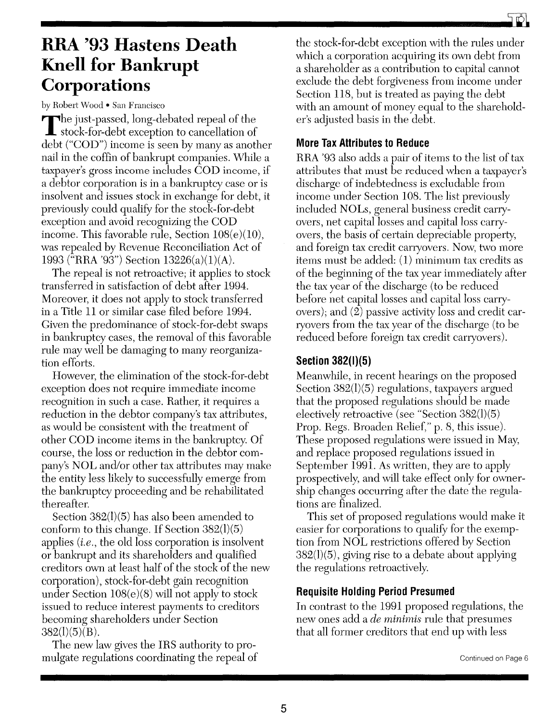# **RRA '93 Hastens Death Knell for Bankrupt Corporations**

by Robert Wood . San Francisco

The just-passed, long-debated repeal of the<br>stock-for-debt exception to cancellation of debt ("COD") income is seen by many as another nail in the coffin of bankrupt companies. While a taxpayer's gross income includes COD income, if a debtor corporation is in a bankruptcy case or is insolvent and issues stock in exchange for debt, it previously could qualify for the stock-for-debt exception and avoid recognizing the COD income. This favorable rule, Section  $108(e)(10)$ , was repealed by Revenue Reconciliation Act of 1993 ("RRA '93") Section 13226(a)(1)(A).

The repeal is not retroactive; it applies to stock transferred in satisfaction of debt after 1994. Moreover, it does not apply to stock transferred in a Title 11 or similar case filed before 1994. Given the predominance of stock-for-debt swaps in bankruptcy cases, the removal of this favorable rule may well be damaging to many reorganization efforts.

However, the elimination of the stock-for-debt exception does not require immediate income recognition in such a case. Rather, it requires a reduction in the debtor company's tax attributes, as would be consistent with the treatment of other COD income items in the bankruptcy. Of course, the loss or reduction in the debtor company's NOL and/or other tax attributes may make the entity less likely to successfully emerge from the bankruptcy proceeding and be rehabilitated thereafter.

Section 382(1)(5) has also been amended to conform to this change. If Section 382(1)(5) applies *(i.e.,* the old loss corporation is insolvent or bankrupt and its shareholders and qualified creditors own at least half of the stock of the new corporation), stock-for-debt gain recognition under Section 108(e)(8) will not apply to stock issued to reduce interest payments to creditors becoming shareholders under Section  $382(I)(5)(B)$ .

The new law gives the IRS authority to promulgate regulations coordinating the repeal of the stock-for-debt exception with the rules under which a corporation acquiring its own debt from a shareholder as a contribution to capital cannot exclude the debt forgiveness from income under Section 118, but is treated as paying the debt with an amount of money equal to the shareholder's adjusted basis in the debt.

## **More Tax Attributes to Reduce**

RRA '93 also adds a pair of items to the list of tax attributes that must be reduced when a taxpayer's discharge of indebtedness is excludable from income under Section 108. The list previously included NOLs, general business credit carryovers, net capital losses and capital loss carryovers, the basis of certain depreciable property, and foreign tax credit canyovers. Now, two more items must be added: (1) minimum tax credits as of the beginning of the tax year immediately after the tax year of the discharge (to be reduced before net capital losses and capital loss carryovers); and (2) passive activity loss and credit carryovers from the tax year of the discharge (to be reduced before foreign tax credit carryovers).

# **Section 382(1)(5)**

Meanwhile, in recent hearings on the proposed Section 382(1)(5) regulations, taxpayers argued that the proposed regulations should be made electively retroactive (see "Section 382(1)(5) Prop. Regs. Broaden Relief," p. 8, this issue). These proposed regulations were issued in May, and replace proposed regulations issued in September 1991. As written, they are to apply prospectively, and will take effect only for ownership changes occurring after the date the regulations are finalized.

This set of proposed regulations would make it easier for corporations to qualify for the exemption from NOL restrictions offered by Section 382(1)(5), giving rise to a debate about applying the regulations retroactively.

# **Requisite Holding Period Presumed**

In contrast to the 1991 proposed regulations, the new ones add a *de minimis* rule that presumes that all former creditors that end up with less